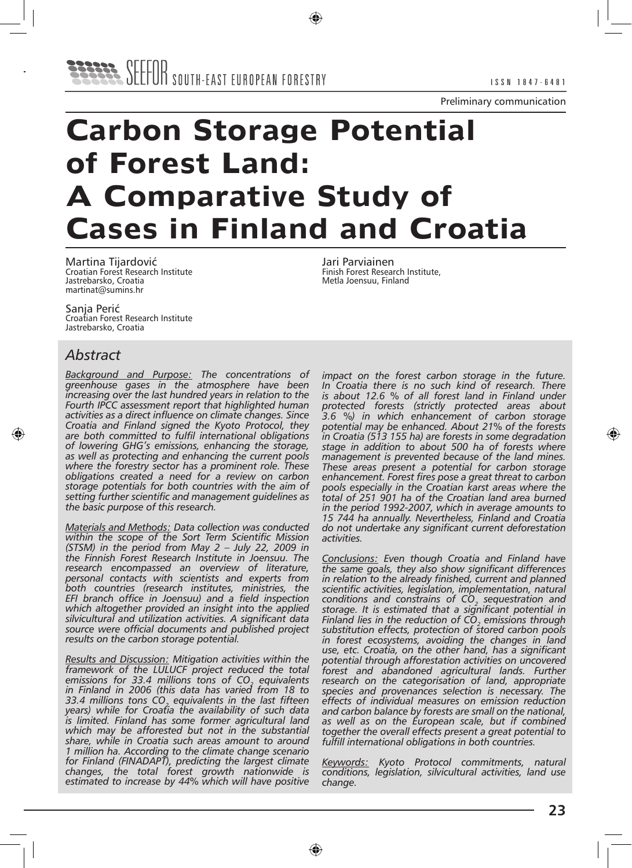Preliminary communication

# **Carbon Storage Potential of Forest Land: A Comparative Study of Cases in Finland and Croatia**

Martina Tijardović Croatian Forest Research Institute Jastrebarsko, Croatia martinat@sumins.hr

Sanja Perić Croatian Forest Research Institute Jastrebarsko, Croatia

# *Abstract*

*Background and Purpose: The concentrations of greenhouse gases in the atmosphere have been increasing over the last hundred years in relation to the Fourth IPCC assessment report that highlighted human activities as a direct influence on climate changes. Since Croatia and Finland signed the Kyoto Protocol, they are both committed to fulfil international obligations of lowering GHG's emissions, enhancing the storage, as well as protecting and enhancing the current pools where the forestry sector has a prominent role. These obligations created a need for a review on carbon storage potentials for both countries with the aim of setting further scientific and management guidelines as the basic purpose of this research.*

*Materials and Methods: Data collection was conducted within the scope of the Sort Term Scientific Mission (STSM) in the period from May 2 – July 22, 2009 in the Finnish Forest Research Institute in Joensuu. The research encompassed an overview of literature, personal contacts with scientists and experts from both countries (research institutes, ministries, the EFI branch office in Joensuu) and a field inspection which altogether provided an insight into the applied silvicultural and utilization activities. A significant data source were official documents and published project results on the carbon storage potential.*

*Results and Discussion: Mitigation activities within the framework of the LULUCF project reduced the total emissions for 33.4 millions tons of CO2 equivalents in Finland in 2006 (this data has varied from 18 to 33.4 millions tons CO2 equivalents in the last fifteen years) while for Croatia the availability of such data is limited. Finland has some former agricultural land which may be afforested but not in the substantial share, while in Croatia such areas amount to around 1 million ha. According to the climate change scenario for Finland (FINADAPT), predicting the largest climate changes, the total forest growth nationwide is estimated to increase by 44% which will have positive*  Jari Parviainen Finish Forest Research Institute, Metla Joensuu, Finland

*impact on the forest carbon storage in the future. In Croatia there is no such kind of research. There is about 12.6 % of all forest land in Finland under protected forests (strictly protected areas about 3.6 %) in which enhancement of carbon storage potential may be enhanced. About 21% of the forests in Croatia (513 155 ha) are forests in some degradation stage in addition to about 500 ha of forests where management is prevented because of the land mines. These areas present a potential for carbon storage enhancement. Forest fires pose a great threat to carbon pools especially in the Croatian karst areas where the total of 251 901 ha of the Croatian land area burned in the period 1992-2007, which in average amounts to 15 744 ha annually. Nevertheless, Finland and Croatia do not undertake any significant current deforestation activities.*

*Conclusions: Even though Croatia and Finland have the same goals, they also show significant differences in relation to the already finished, current and planned scientific activities, legislation, implementation, natural*  conditions and constrains of CO<sub>2</sub> sequestration and *storage. It is estimated that a significant potential in Finland lies in the reduction of CO<sub>2</sub> emissions through substitution effects, protection of stored carbon pools in forest ecosystems, avoiding the changes in land use, etc. Croatia, on the other hand, has a significant potential through afforestation activities on uncovered forest and abandoned agricultural lands. Further research on the categorisation of land, appropriate species and provenances selection is necessary. The effects of individual measures on emission reduction and carbon balance by forests are small on the national, as well as on the European scale, but if combined together the overall effects present a great potential to fulfill international obligations in both countries.* 

*Keywords: Kyoto Protocol commitments, natural conditions, legislation, silvicultural activities, land use change.*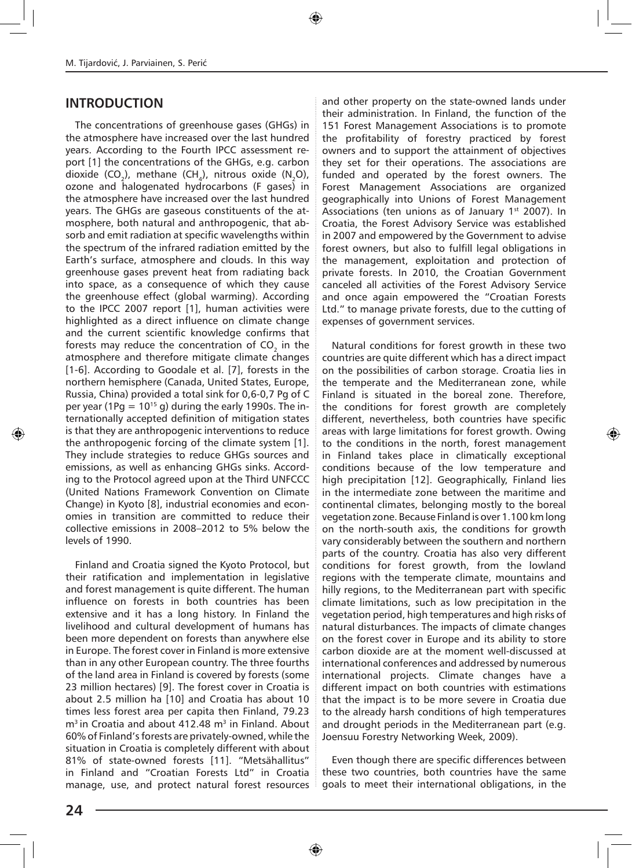# **INTRODUCTION**

The concentrations of greenhouse gases (GHGs) in the atmosphere have increased over the last hundred years. According to the Fourth IPCC assessment report [1] the concentrations of the GHGs, e.g. carbon dioxide (CO<sub>2</sub>), methane (CH<sub>4</sub>), nitrous oxide (N<sub>2</sub>O), ozone and halogenated hydrocarbons (F gases) in the atmosphere have increased over the last hundred years. The GHGs are gaseous constituents of the atmosphere, both natural and anthropogenic, that absorb and emit radiation at specific wavelengths within the spectrum of the infrared radiation emitted by the Earth's surface, atmosphere and clouds. In this way greenhouse gases prevent heat from radiating back into space, as a consequence of which they cause the greenhouse effect (global warming). According to the IPCC 2007 report [1], human activities were highlighted as a direct influence on climate change and the current scientific knowledge confirms that forests may reduce the concentration of CO<sub>2</sub> in the atmosphere and therefore mitigate climate changes [1-6]. According to Goodale et al. [7], forests in the northern hemisphere (Canada, United States, Europe, Russia, China) provided a total sink for 0,6-0,7 Pg of C per year (1Pg =  $10^{15}$  g) during the early 1990s. The internationally accepted definition of mitigation states is that they are anthropogenic interventions to reduce the anthropogenic forcing of the climate system [1]. They include strategies to reduce GHGs sources and emissions, as well as enhancing GHGs sinks. According to the Protocol agreed upon at the Third UNFCCC (United Nations Framework Convention on Climate Change) in Kyoto [8], industrial economies and economies in transition are committed to reduce their collective emissions in 2008–2012 to 5% below the levels of 1990.

Finland and Croatia signed the Kyoto Protocol, but their ratification and implementation in legislative and forest management is quite different. The human influence on forests in both countries has been extensive and it has a long history. In Finland the livelihood and cultural development of humans has been more dependent on forests than anywhere else in Europe. The forest cover in Finland is more extensive than in any other European country. The three fourths of the land area in Finland is covered by forests (some 23 million hectares) [9]. The forest cover in Croatia is about 2.5 million ha [10] and Croatia has about 10 times less forest area per capita then Finland, 79.23  $m<sup>3</sup>$  in Croatia and about 412.48  $m<sup>3</sup>$  in Finland. About 60% of Finland's forests are privately-owned, while the situation in Croatia is completely different with about 81% of state-owned forests [11]. "Metsähallitus" in Finland and "Croatian Forests Ltd" in Croatia manage, use, and protect natural forest resources and other property on the state-owned lands under their administration. In Finland, the function of the 151 Forest Management Associations is to promote the profitability of forestry practiced by forest owners and to support the attainment of objectives they set for their operations. The associations are funded and operated by the forest owners. The Forest Management Associations are organized geographically into Unions of Forest Management Associations (ten unions as of January  $1<sup>st</sup>$  2007). In Croatia, the Forest Advisory Service was established in 2007 and empowered by the Government to advise forest owners, but also to fulfill legal obligations in the management, exploitation and protection of private forests. In 2010, the Croatian Government canceled all activities of the Forest Advisory Service and once again empowered the "Croatian Forests Ltd." to manage private forests, due to the cutting of expenses of government services.

Natural conditions for forest growth in these two countries are quite different which has a direct impact on the possibilities of carbon storage. Croatia lies in the temperate and the Mediterranean zone, while Finland is situated in the boreal zone. Therefore, the conditions for forest growth are completely different, nevertheless, both countries have specific areas with large limitations for forest growth. Owing to the conditions in the north, forest management in Finland takes place in climatically exceptional conditions because of the low temperature and high precipitation [12]. Geographically, Finland lies in the intermediate zone between the maritime and continental climates, belonging mostly to the boreal vegetation zone. Because Finland is over 1.100 km long on the north-south axis, the conditions for growth vary considerably between the southern and northern parts of the country. Croatia has also very different conditions for forest growth, from the lowland regions with the temperate climate, mountains and hilly regions, to the Mediterranean part with specific climate limitations, such as low precipitation in the vegetation period, high temperatures and high risks of natural disturbances. The impacts of climate changes on the forest cover in Europe and its ability to store carbon dioxide are at the moment well-discussed at international conferences and addressed by numerous international projects. Climate changes have a different impact on both countries with estimations that the impact is to be more severe in Croatia due to the already harsh conditions of high temperatures and drought periods in the Mediterranean part (e.g. Joensuu Forestry Networking Week, 2009).

Even though there are specific differences between these two countries, both countries have the same goals to meet their international obligations, in the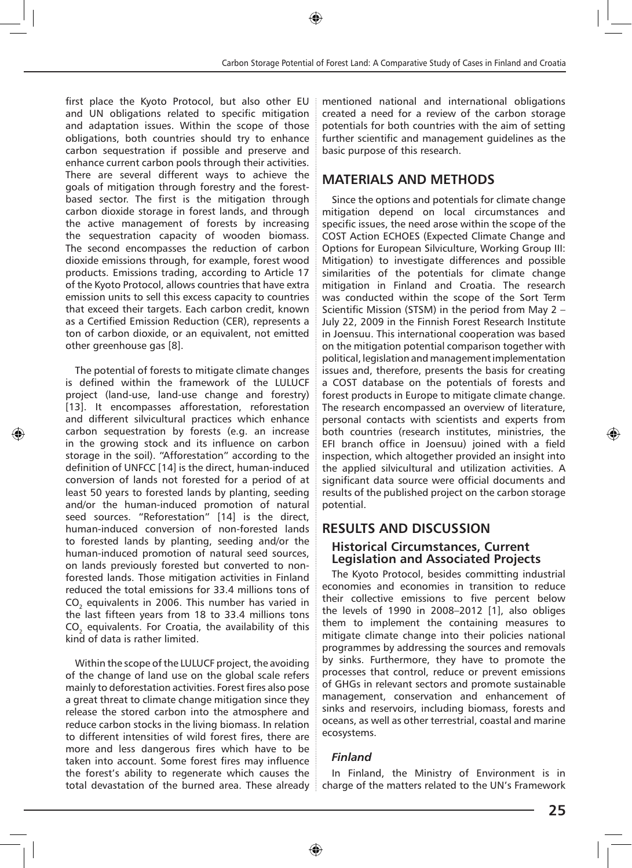first place the Kyoto Protocol, but also other EU and UN obligations related to specific mitigation and adaptation issues. Within the scope of those obligations, both countries should try to enhance carbon sequestration if possible and preserve and enhance current carbon pools through their activities. There are several different ways to achieve the goals of mitigation through forestry and the forestbased sector. The first is the mitigation through carbon dioxide storage in forest lands, and through the active management of forests by increasing the sequestration capacity of wooden biomass. The second encompasses the reduction of carbon dioxide emissions through, for example, forest wood products. Emissions trading, according to Article 17 of the Kyoto Protocol, allows countries that have extra emission units to sell this excess capacity to countries that exceed their targets. Each carbon credit, known as a Certified Emission Reduction (CER), represents a ton of carbon dioxide, or an equivalent, not emitted other greenhouse gas [8].

The potential of forests to mitigate climate changes is defined within the framework of the LULUCF project (land-use, land-use change and forestry) [13]. It encompasses afforestation, reforestation and different silvicultural practices which enhance carbon sequestration by forests (e.g. an increase in the growing stock and its influence on carbon storage in the soil). "Afforestation" according to the definition of UNFCC [14] is the direct, human-induced conversion of lands not forested for a period of at least 50 years to forested lands by planting, seeding and/or the human-induced promotion of natural seed sources. "Reforestation" [14] is the direct, human-induced conversion of non-forested lands to forested lands by planting, seeding and/or the human-induced promotion of natural seed sources, on lands previously forested but converted to nonforested lands. Those mitigation activities in Finland reduced the total emissions for 33.4 millions tons of CO<sub>2</sub> equivalents in 2006. This number has varied in the last fifteen years from 18 to 33.4 millions tons CO<sub>2</sub> equivalents. For Croatia, the availability of this kind of data is rather limited.

Within the scope of the LULUCF project, the avoiding of the change of land use on the global scale refers mainly to deforestation activities. Forest fires also pose a great threat to climate change mitigation since they release the stored carbon into the atmosphere and reduce carbon stocks in the living biomass. In relation to different intensities of wild forest fires, there are more and less dangerous fires which have to be taken into account. Some forest fires may influence the forest's ability to regenerate which causes the total devastation of the burned area. These already

mentioned national and international obligations created a need for a review of the carbon storage potentials for both countries with the aim of setting further scientific and management guidelines as the basic purpose of this research.

# **MATERIALS AND METHODS**

Since the options and potentials for climate change mitigation depend on local circumstances and specific issues, the need arose within the scope of the COST Action ECHOES (Expected Climate Change and Options for European Silviculture, Working Group III: Mitigation) to investigate differences and possible similarities of the potentials for climate change mitigation in Finland and Croatia. The research was conducted within the scope of the Sort Term Scientific Mission (STSM) in the period from May 2 – July 22, 2009 in the Finnish Forest Research Institute in Joensuu. This international cooperation was based on the mitigation potential comparison together with political, legislation and management implementation issues and, therefore, presents the basis for creating a COST database on the potentials of forests and forest products in Europe to mitigate climate change. The research encompassed an overview of literature, personal contacts with scientists and experts from both countries (research institutes, ministries, the EFI branch office in Joensuu) joined with a field inspection, which altogether provided an insight into the applied silvicultural and utilization activities. A significant data source were official documents and results of the published project on the carbon storage potential.

# **RESULTS AND DISCUSSION**

#### **Historical Circumstances, Current Legislation and Associated Projects**

The Kyoto Protocol, besides committing industrial economies and economies in transition to reduce their collective emissions to five percent below the levels of 1990 in 2008–2012 [1], also obliges them to implement the containing measures to mitigate climate change into their policies national programmes by addressing the sources and removals by sinks. Furthermore, they have to promote the processes that control, reduce or prevent emissions of GHGs in relevant sectors and promote sustainable management, conservation and enhancement of sinks and reservoirs, including biomass, forests and oceans, as well as other terrestrial, coastal and marine ecosystems.

#### *Finland*

In Finland, the Ministry of Environment is in charge of the matters related to the UN's Framework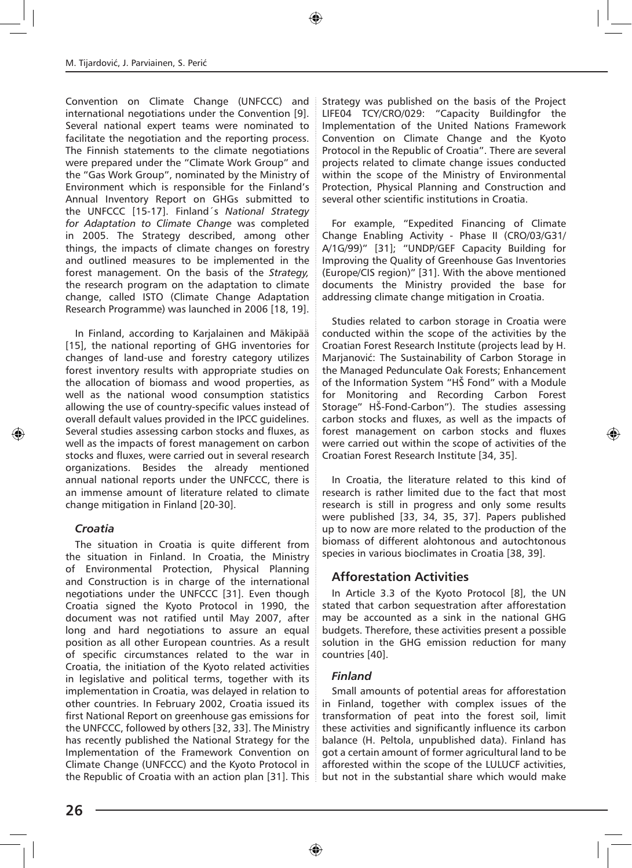Convention on Climate Change (UNFCCC) and international negotiations under the Convention [9]. Several national expert teams were nominated to facilitate the negotiation and the reporting process. The Finnish statements to the climate negotiations were prepared under the "Climate Work Group" and the "Gas Work Group", nominated by the Ministry of Environment which is responsible for the Finland's Annual Inventory Report on GHGs submitted to the UNFCCC [15-17]. Finland´s *National Strategy for Adaptation to Climate Change* was completed in 2005. The Strategy described, among other things, the impacts of climate changes on forestry and outlined measures to be implemented in the forest management. On the basis of the *Strategy,* the research program on the adaptation to climate change, called ISTO (Climate Change Adaptation Research Programme) was launched in 2006 [18, 19].

In Finland, according to Karjalainen and Mäkipää [15], the national reporting of GHG inventories for changes of land-use and forestry category utilizes forest inventory results with appropriate studies on the allocation of biomass and wood properties, as well as the national wood consumption statistics allowing the use of country-specific values instead of overall default values provided in the IPCC guidelines. Several studies assessing carbon stocks and fluxes, as well as the impacts of forest management on carbon stocks and fluxes, were carried out in several research organizations. Besides the already mentioned annual national reports under the UNFCCC, there is an immense amount of literature related to climate change mitigation in Finland [20-30].

#### *Croatia*

The situation in Croatia is quite different from the situation in Finland. In Croatia, the Ministry of Environmental Protection, Physical Planning and Construction is in charge of the international negotiations under the UNFCCC [31]. Even though Croatia signed the Kyoto Protocol in 1990, the document was not ratified until May 2007, after long and hard negotiations to assure an equal position as all other European countries. As a result of specific circumstances related to the war in Croatia, the initiation of the Kyoto related activities in legislative and political terms, together with its implementation in Croatia, was delayed in relation to other countries. In February 2002, Croatia issued its first National Report on greenhouse gas emissions for the UNFCCC, followed by others [32, 33]. The Ministry has recently published the National Strategy for the Implementation of the Framework Convention on Climate Change (UNFCCC) and the Kyoto Protocol in the Republic of Croatia with an action plan [31]. This Strategy was published on the basis of the Project LIFE04 TCY/CRO/029: "Capacity Buildingfor the Implementation of the United Nations Framework Convention on Climate Change and the Kyoto Protocol in the Republic of Croatia". There are several projects related to climate change issues conducted within the scope of the Ministry of Environmental Protection, Physical Planning and Construction and several other scientific institutions in Croatia.

For example, "Expedited Financing of Climate Change Enabling Activity - Phase II (CRO/03/G31/ A/1G/99)" [31]; "UNDP/GEF Capacity Building for Improving the Quality of Greenhouse Gas Inventories (Europe/CIS region)" [31]. With the above mentioned documents the Ministry provided the base for addressing climate change mitigation in Croatia.

Studies related to carbon storage in Croatia were conducted within the scope of the activities by the Croatian Forest Research Institute (projects lead by H. Marjanović: The Sustainability of Carbon Storage in the Managed Pedunculate Oak Forests; Enhancement of the Information System "HŠ Fond" with a Module for Monitoring and Recording Carbon Forest Storage" HŠ-Fond-Carbon"). The studies assessing carbon stocks and fluxes, as well as the impacts of forest management on carbon stocks and fluxes were carried out within the scope of activities of the Croatian Forest Research Institute [34, 35].

In Croatia, the literature related to this kind of research is rather limited due to the fact that most research is still in progress and only some results were published [33, 34, 35, 37]. Papers published up to now are more related to the production of the biomass of different alohtonous and autochtonous species in various bioclimates in Croatia [38, 39].

# **Afforestation Activities**

In Article 3.3 of the Kyoto Protocol [8], the UN stated that carbon sequestration after afforestation may be accounted as a sink in the national GHG budgets. Therefore, these activities present a possible solution in the GHG emission reduction for many countries [40].

#### *Finland*

Small amounts of potential areas for afforestation in Finland, together with complex issues of the transformation of peat into the forest soil, limit these activities and significantly influence its carbon balance (H. Peltola, unpublished data). Finland has got a certain amount of former agricultural land to be afforested within the scope of the LULUCF activities, but not in the substantial share which would make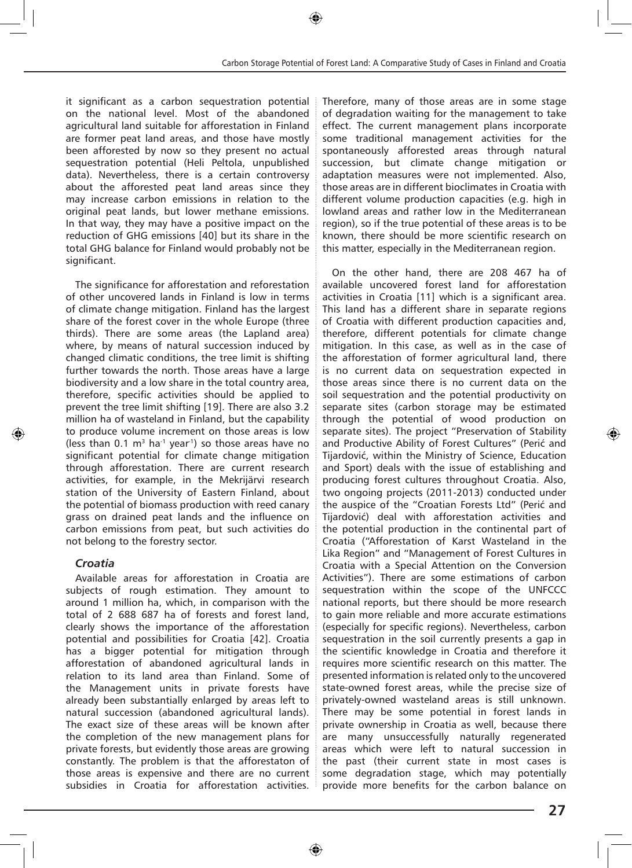it significant as a carbon sequestration potential on the national level. Most of the abandoned agricultural land suitable for afforestation in Finland are former peat land areas, and those have mostly been afforested by now so they present no actual sequestration potential (Heli Peltola, unpublished data). Nevertheless, there is a certain controversy about the afforested peat land areas since they may increase carbon emissions in relation to the original peat lands, but lower methane emissions. In that way, they may have a positive impact on the reduction of GHG emissions [40] but its share in the total GHG balance for Finland would probably not be significant.

The significance for afforestation and reforestation of other uncovered lands in Finland is low in terms of climate change mitigation. Finland has the largest share of the forest cover in the whole Europe (three thirds). There are some areas (the Lapland area) where, by means of natural succession induced by changed climatic conditions, the tree limit is shifting further towards the north. Those areas have a large biodiversity and a low share in the total country area, therefore, specific activities should be applied to prevent the tree limit shifting [19]. There are also 3.2 million ha of wasteland in Finland, but the capability to produce volume increment on those areas is low (less than 0.1  $m<sup>3</sup>$  ha<sup>-1</sup> year<sup>1</sup>) so those areas have no significant potential for climate change mitigation through afforestation. There are current research activities, for example, in the Mekrijärvi research station of the University of Eastern Finland, about the potential of biomass production with reed canary grass on drained peat lands and the influence on carbon emissions from peat, but such activities do not belong to the forestry sector.

#### *Croatia*

Available areas for afforestation in Croatia are subjects of rough estimation. They amount to around 1 million ha, which, in comparison with the total of 2 688 687 ha of forests and forest land, clearly shows the importance of the afforestation potential and possibilities for Croatia [42]. Croatia has a bigger potential for mitigation through afforestation of abandoned agricultural lands in relation to its land area than Finland. Some of the Management units in private forests have already been substantially enlarged by areas left to natural succession (abandoned agricultural lands). The exact size of these areas will be known after the completion of the new management plans for private forests, but evidently those areas are growing constantly. The problem is that the afforestaton of those areas is expensive and there are no current subsidies in Croatia for afforestation activities. Therefore, many of those areas are in some stage of degradation waiting for the management to take effect. The current management plans incorporate some traditional management activities for the spontaneously afforested areas through natural succession, but climate change mitigation or adaptation measures were not implemented. Also, those areas are in different bioclimates in Croatia with different volume production capacities (e.g. high in lowland areas and rather low in the Mediterranean region), so if the true potential of these areas is to be known, there should be more scientific research on this matter, especially in the Mediterranean region.

On the other hand, there are 208 467 ha of available uncovered forest land for afforestation activities in Croatia [11] which is a significant area. This land has a different share in separate regions of Croatia with different production capacities and, therefore, different potentials for climate change mitigation. In this case, as well as in the case of the afforestation of former agricultural land, there is no current data on sequestration expected in those areas since there is no current data on the soil sequestration and the potential productivity on separate sites (carbon storage may be estimated through the potential of wood production on separate sites). The project "Preservation of Stability and Productive Ability of Forest Cultures" (Perić and Tijardović, within the Ministry of Science, Education and Sport) deals with the issue of establishing and producing forest cultures throughout Croatia. Also, two ongoing projects (2011-2013) conducted under the auspice of the "Croatian Forests Ltd" (Perić and Tijardović) deal with afforestation activities and the potential production in the continental part of Croatia ("Afforestation of Karst Wasteland in the Lika Region" and "Management of Forest Cultures in Croatia with a Special Attention on the Conversion Activities"). There are some estimations of carbon sequestration within the scope of the UNFCCC national reports, but there should be more research to gain more reliable and more accurate estimations (especially for specific regions). Nevertheless, carbon sequestration in the soil currently presents a gap in the scientific knowledge in Croatia and therefore it requires more scientific research on this matter. The presented information is related only to the uncovered state-owned forest areas, while the precise size of privately-owned wasteland areas is still unknown. There may be some potential in forest lands in private ownership in Croatia as well, because there are many unsuccessfully naturally regenerated areas which were left to natural succession in the past (their current state in most cases is some degradation stage, which may potentially provide more benefits for the carbon balance on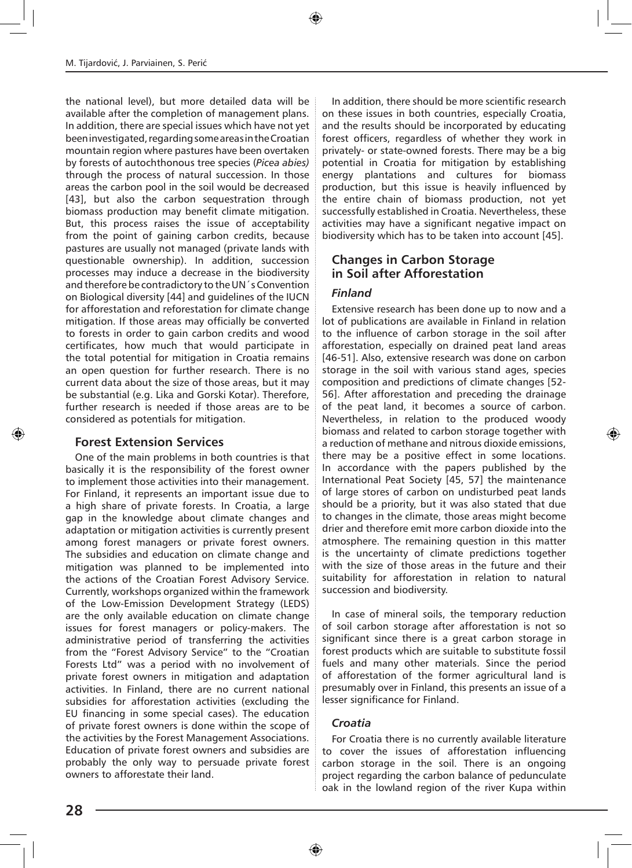the national level), but more detailed data will be available after the completion of management plans. In addition, there are special issues which have not yet been investigated, regarding some areas in the Croatian mountain region where pastures have been overtaken by forests of autochthonous tree species (*Picea abies)* through the process of natural succession. In those areas the carbon pool in the soil would be decreased [43], but also the carbon sequestration through biomass production may benefit climate mitigation. But, this process raises the issue of acceptability from the point of gaining carbon credits, because pastures are usually not managed (private lands with questionable ownership). In addition, succession processes may induce a decrease in the biodiversity and therefore be contradictory to the UN´s Convention on Biological diversity [44] and guidelines of the IUCN for afforestation and reforestation for climate change mitigation. If those areas may officially be converted to forests in order to gain carbon credits and wood certificates, how much that would participate in the total potential for mitigation in Croatia remains an open question for further research. There is no current data about the size of those areas, but it may be substantial (e.g. Lika and Gorski Kotar). Therefore, further research is needed if those areas are to be considered as potentials for mitigation.

#### **Forest Extension Services**

One of the main problems in both countries is that basically it is the responsibility of the forest owner to implement those activities into their management. For Finland, it represents an important issue due to a high share of private forests. In Croatia, a large gap in the knowledge about climate changes and adaptation or mitigation activities is currently present among forest managers or private forest owners. The subsidies and education on climate change and mitigation was planned to be implemented into the actions of the Croatian Forest Advisory Service. Currently, workshops organized within the framework of the Low-Emission Development Strategy (LEDS) are the only available education on climate change issues for forest managers or policy-makers. The administrative period of transferring the activities from the "Forest Advisory Service" to the "Croatian Forests Ltd" was a period with no involvement of private forest owners in mitigation and adaptation activities. In Finland, there are no current national subsidies for afforestation activities (excluding the EU financing in some special cases). The education of private forest owners is done within the scope of the activities by the Forest Management Associations. Education of private forest owners and subsidies are probably the only way to persuade private forest owners to afforestate their land.

In addition, there should be more scientific research on these issues in both countries, especially Croatia, and the results should be incorporated by educating forest officers, regardless of whether they work in privately- or state-owned forests. There may be a big potential in Croatia for mitigation by establishing energy plantations and cultures for biomass production, but this issue is heavily influenced by the entire chain of biomass production, not yet successfully established in Croatia. Nevertheless, these activities may have a significant negative impact on biodiversity which has to be taken into account [45].

# **Changes in Carbon Storage in Soil after Afforestation**

#### *Finland*

Extensive research has been done up to now and a lot of publications are available in Finland in relation to the influence of carbon storage in the soil after afforestation, especially on drained peat land areas [46-51]. Also, extensive research was done on carbon storage in the soil with various stand ages, species composition and predictions of climate changes [52- 56]. After afforestation and preceding the drainage of the peat land, it becomes a source of carbon. Nevertheless, in relation to the produced woody biomass and related to carbon storage together with a reduction of methane and nitrous dioxide emissions, there may be a positive effect in some locations. In accordance with the papers published by the International Peat Society [45, 57] the maintenance of large stores of carbon on undisturbed peat lands should be a priority, but it was also stated that due to changes in the climate, those areas might become drier and therefore emit more carbon dioxide into the atmosphere. The remaining question in this matter is the uncertainty of climate predictions together with the size of those areas in the future and their suitability for afforestation in relation to natural succession and biodiversity.

In case of mineral soils, the temporary reduction of soil carbon storage after afforestation is not so significant since there is a great carbon storage in forest products which are suitable to substitute fossil fuels and many other materials. Since the period of afforestation of the former agricultural land is presumably over in Finland, this presents an issue of a lesser significance for Finland.

#### *Croatia*

For Croatia there is no currently available literature to cover the issues of afforestation influencing carbon storage in the soil. There is an ongoing project regarding the carbon balance of pedunculate oak in the lowland region of the river Kupa within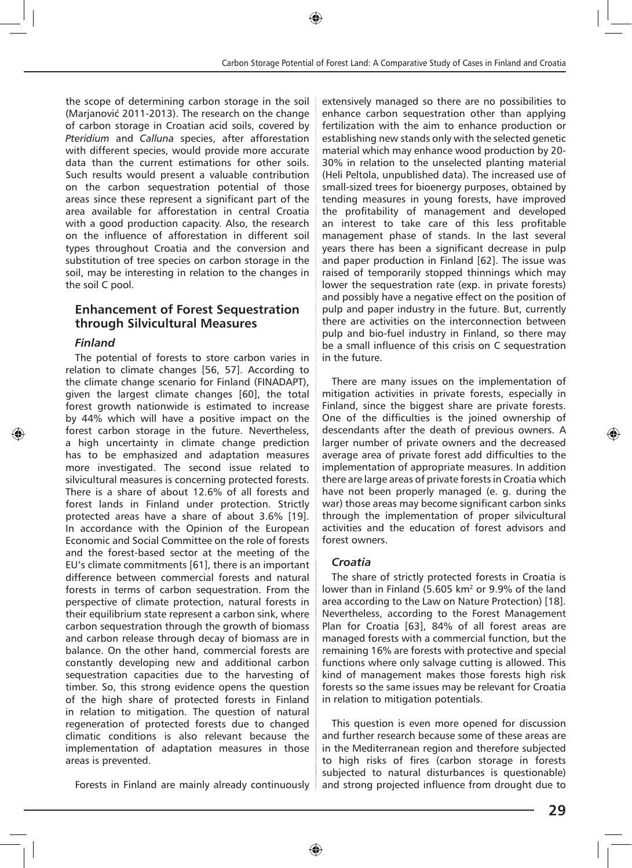the scope of determining carbon storage in the soil (Marjanović 2011-2013). The research on the change of carbon storage in Croatian acid soils, covered by *Pteridium* and *Calluna* species, after afforestation with different species, would provide more accurate data than the current estimations for other soils. Such results would present a valuable contribution on the carbon sequestration potential of those areas since these represent a significant part of the area available for afforestation in central Croatia with a good production capacity. Also, the research on the influence of afforestation in different soil types throughout Croatia and the conversion and substitution of tree species on carbon storage in the soil, may be interesting in relation to the changes in the soil C pool.

#### **Enhancement of Forest Sequestration through Silvicultural Measures**

#### *Finland*

The potential of forests to store carbon varies in relation to climate changes [56, 57]. According to the climate change scenario for Finland (FINADAPT), given the largest climate changes [60], the total forest growth nationwide is estimated to increase by 44% which will have a positive impact on the forest carbon storage in the future. Nevertheless, a high uncertainty in climate change prediction has to be emphasized and adaptation measures more investigated. The second issue related to silvicultural measures is concerning protected forests. There is a share of about 12.6% of all forests and forest lands in Finland under protection. Strictly protected areas have a share of about 3.6% [19]. In accordance with the Opinion of the European Economic and Social Committee on the role of forests and the forest-based sector at the meeting of the EU's climate commitments [61], there is an important difference between commercial forests and natural forests in terms of carbon sequestration. From the perspective of climate protection, natural forests in their equilibrium state represent a carbon sink, where carbon sequestration through the growth of biomass and carbon release through decay of biomass are in balance. On the other hand, commercial forests are constantly developing new and additional carbon sequestration capacities due to the harvesting of timber. So, this strong evidence opens the question of the high share of protected forests in Finland in relation to mitigation. The question of natural regeneration of protected forests due to changed climatic conditions is also relevant because the implementation of adaptation measures in those areas is prevented.

Forests in Finland are mainly already continuously

extensively managed so there are no possibilities to enhance carbon sequestration other than applying fertilization with the aim to enhance production or establishing new stands only with the selected genetic material which may enhance wood production by 20- 30% in relation to the unselected planting material (Heli Peltola, unpublished data). The increased use of small-sized trees for bioenergy purposes, obtained by tending measures in young forests, have improved the profitability of management and developed an interest to take care of this less profitable management phase of stands. In the last several years there has been a significant decrease in pulp and paper production in Finland [62]. The issue was raised of temporarily stopped thinnings which may lower the sequestration rate (exp. in private forests) and possibly have a negative effect on the position of pulp and paper industry in the future. But, currently there are activities on the interconnection between pulp and bio-fuel industry in Finland, so there may be a small influence of this crisis on C sequestration in the future.

There are many issues on the implementation of mitigation activities in private forests, especially in Finland, since the biggest share are private forests. One of the difficulties is the joined ownership of descendants after the death of previous owners. A larger number of private owners and the decreased average area of private forest add difficulties to the implementation of appropriate measures. In addition there are large areas of private forests in Croatia which have not been properly managed (e. g. during the war) those areas may become significant carbon sinks through the implementation of proper silvicultural activities and the education of forest advisors and forest owners.

#### *Croatia*

The share of strictly protected forests in Croatia is lower than in Finland (5.605 km<sup>2</sup> or 9.9% of the land area according to the Law on Nature Protection) [18]. Nevertheless, according to the Forest Management Plan for Croatia [63], 84% of all forest areas are managed forests with a commercial function, but the remaining 16% are forests with protective and special functions where only salvage cutting is allowed. This kind of management makes those forests high risk forests so the same issues may be relevant for Croatia in relation to mitigation potentials.

This question is even more opened for discussion and further research because some of these areas are in the Mediterranean region and therefore subjected to high risks of fires (carbon storage in forests subjected to natural disturbances is questionable) and strong projected influence from drought due to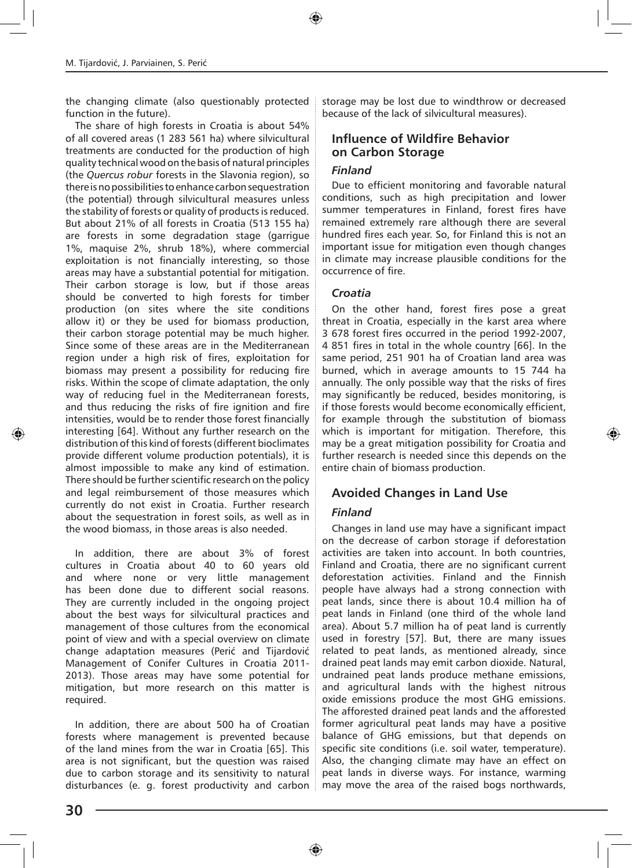the changing climate (also questionably protected function in the future).

The share of high forests in Croatia is about 54% of all covered areas (1 283 561 ha) where silvicultural treatments are conducted for the production of high quality technical wood on the basis of natural principles (the *Quercus robur* forests in the Slavonia region), so there is no possibilities to enhance carbon sequestration (the potential) through silvicultural measures unless the stability of forests or quality of products is reduced. But about 21% of all forests in Croatia (513 155 ha) are forests in some degradation stage (garrigue 1%, maquise 2%, shrub 18%), where commercial exploitation is not financially interesting, so those areas may have a substantial potential for mitigation. Their carbon storage is low, but if those areas should be converted to high forests for timber production (on sites where the site conditions allow it) or they be used for biomass production, their carbon storage potential may be much higher. Since some of these areas are in the Mediterranean region under a high risk of fires, exploitation for biomass may present a possibility for reducing fire risks. Within the scope of climate adaptation, the only way of reducing fuel in the Mediterranean forests, and thus reducing the risks of fire ignition and fire intensities, would be to render those forest financially interesting [64]. Without any further research on the distribution of this kind of forests (different bioclimates provide different volume production potentials), it is almost impossible to make any kind of estimation. There should be further scientific research on the policy and legal reimbursement of those measures which currently do not exist in Croatia. Further research about the sequestration in forest soils, as well as in the wood biomass, in those areas is also needed.

In addition, there are about 3% of forest cultures in Croatia about 40 to 60 years old and where none or very little management has been done due to different social reasons. They are currently included in the ongoing project about the best ways for silvicultural practices and management of those cultures from the economical point of view and with a special overview on climate change adaptation measures (Perić and Tijardović Management of Conifer Cultures in Croatia 2011- 2013). Those areas may have some potential for mitigation, but more research on this matter is required.

In addition, there are about 500 ha of Croatian forests where management is prevented because of the land mines from the war in Croatia [65]. This area is not significant, but the question was raised due to carbon storage and its sensitivity to natural disturbances (e. g. forest productivity and carbon storage may be lost due to windthrow or decreased because of the lack of silvicultural measures).

### **Influence of Wildfire Behavior on Carbon Storage**

#### *Finland*

Due to efficient monitoring and favorable natural conditions, such as high precipitation and lower summer temperatures in Finland, forest fires have remained extremely rare although there are several hundred fires each year. So, for Finland this is not an important issue for mitigation even though changes in climate may increase plausible conditions for the occurrence of fire.

#### *Croatia*

On the other hand, forest fires pose a great threat in Croatia, especially in the karst area where 3 678 forest fires occurred in the period 1992-2007, 4 851 fires in total in the whole country [66]. In the same period, 251 901 ha of Croatian land area was burned, which in average amounts to 15 744 ha annually. The only possible way that the risks of fires may significantly be reduced, besides monitoring, is if those forests would become economically efficient, for example through the substitution of biomass which is important for mitigation. Therefore, this may be a great mitigation possibility for Croatia and further research is needed since this depends on the entire chain of biomass production.

# **Avoided Changes in Land Use**

#### *Finland*

Changes in land use may have a significant impact on the decrease of carbon storage if deforestation activities are taken into account. In both countries, Finland and Croatia, there are no significant current deforestation activities. Finland and the Finnish people have always had a strong connection with peat lands, since there is about 10.4 million ha of peat lands in Finland (one third of the whole land area). About 5.7 million ha of peat land is currently used in forestry [57]. But, there are many issues related to peat lands, as mentioned already, since drained peat lands may emit carbon dioxide. Natural, undrained peat lands produce methane emissions, and agricultural lands with the highest nitrous oxide emissions produce the most GHG emissions. The afforested drained peat lands and the afforested former agricultural peat lands may have a positive balance of GHG emissions, but that depends on specific site conditions (i.e. soil water, temperature). Also, the changing climate may have an effect on peat lands in diverse ways. For instance, warming may move the area of the raised bogs northwards,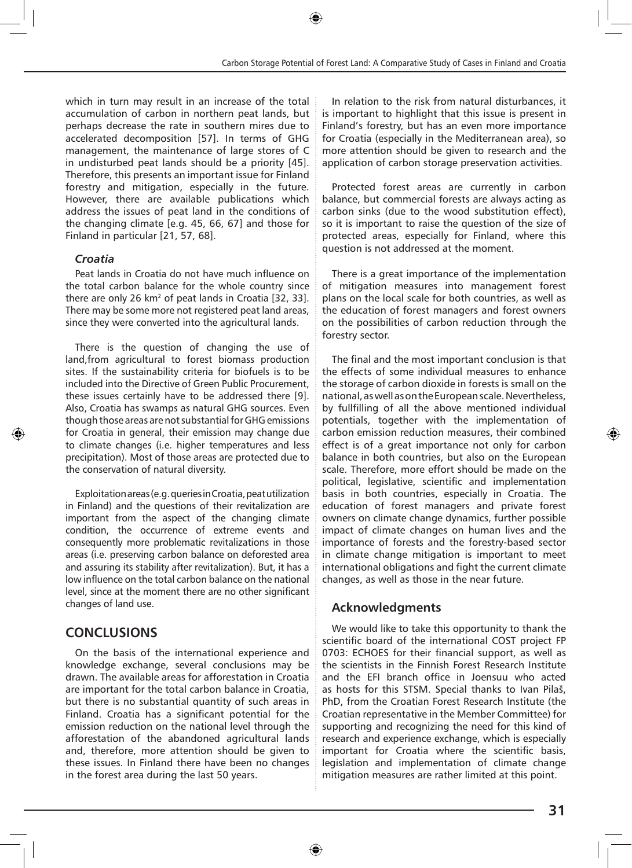which in turn may result in an increase of the total accumulation of carbon in northern peat lands, but perhaps decrease the rate in southern mires due to accelerated decomposition [57]. In terms of GHG management, the maintenance of large stores of C in undisturbed peat lands should be a priority [45]. Therefore, this presents an important issue for Finland forestry and mitigation, especially in the future. However, there are available publications which address the issues of peat land in the conditions of the changing climate [e.g. 45, 66, 67] and those for Finland in particular [21, 57, 68].

#### *Croatia*

Peat lands in Croatia do not have much influence on the total carbon balance for the whole country since there are only 26  $km^2$  of peat lands in Croatia [32, 33]. There may be some more not registered peat land areas, since they were converted into the agricultural lands.

There is the question of changing the use of land,from agricultural to forest biomass production sites. If the sustainability criteria for biofuels is to be included into the Directive of Green Public Procurement, these issues certainly have to be addressed there [9]. Also, Croatia has swamps as natural GHG sources. Even though those areas are not substantial for GHG emissions for Croatia in general, their emission may change due to climate changes (i.e. higher temperatures and less precipitation). Most of those areas are protected due to the conservation of natural diversity.

Exploitation areas (e.g. queries in Croatia, peat utilization in Finland) and the questions of their revitalization are important from the aspect of the changing climate condition, the occurrence of extreme events and consequently more problematic revitalizations in those areas (i.e. preserving carbon balance on deforested area and assuring its stability after revitalization). But, it has a low influence on the total carbon balance on the national level, since at the moment there are no other significant changes of land use.

# **CONCLUSIONS**

On the basis of the international experience and knowledge exchange, several conclusions may be drawn. The available areas for afforestation in Croatia are important for the total carbon balance in Croatia, but there is no substantial quantity of such areas in Finland. Croatia has a significant potential for the emission reduction on the national level through the afforestation of the abandoned agricultural lands and, therefore, more attention should be given to these issues. In Finland there have been no changes in the forest area during the last 50 years.

In relation to the risk from natural disturbances, it is important to highlight that this issue is present in Finland's forestry, but has an even more importance for Croatia (especially in the Mediterranean area), so more attention should be given to research and the application of carbon storage preservation activities.

Protected forest areas are currently in carbon balance, but commercial forests are always acting as carbon sinks (due to the wood substitution effect), so it is important to raise the question of the size of protected areas, especially for Finland, where this question is not addressed at the moment.

There is a great importance of the implementation of mitigation measures into management forest plans on the local scale for both countries, as well as the education of forest managers and forest owners on the possibilities of carbon reduction through the forestry sector.

The final and the most important conclusion is that the effects of some individual measures to enhance the storage of carbon dioxide in forests is small on the national, as well as on the European scale. Nevertheless, by fullfilling of all the above mentioned individual potentials, together with the implementation of carbon emission reduction measures, their combined effect is of a great importance not only for carbon balance in both countries, but also on the European scale. Therefore, more effort should be made on the political, legislative, scientific and implementation basis in both countries, especially in Croatia. The education of forest managers and private forest owners on climate change dynamics, further possible impact of climate changes on human lives and the importance of forests and the forestry-based sector in climate change mitigation is important to meet international obligations and fight the current climate changes, as well as those in the near future.

# **Acknowledgments**

We would like to take this opportunity to thank the scientific board of the international COST project FP 0703: ECHOES for their financial support, as well as the scientists in the Finnish Forest Research Institute and the EFI branch office in Joensuu who acted as hosts for this STSM. Special thanks to Ivan Pilaš, PhD, from the Croatian Forest Research Institute (the Croatian representative in the Member Committee) for supporting and recognizing the need for this kind of research and experience exchange, which is especially important for Croatia where the scientific basis, legislation and implementation of climate change mitigation measures are rather limited at this point.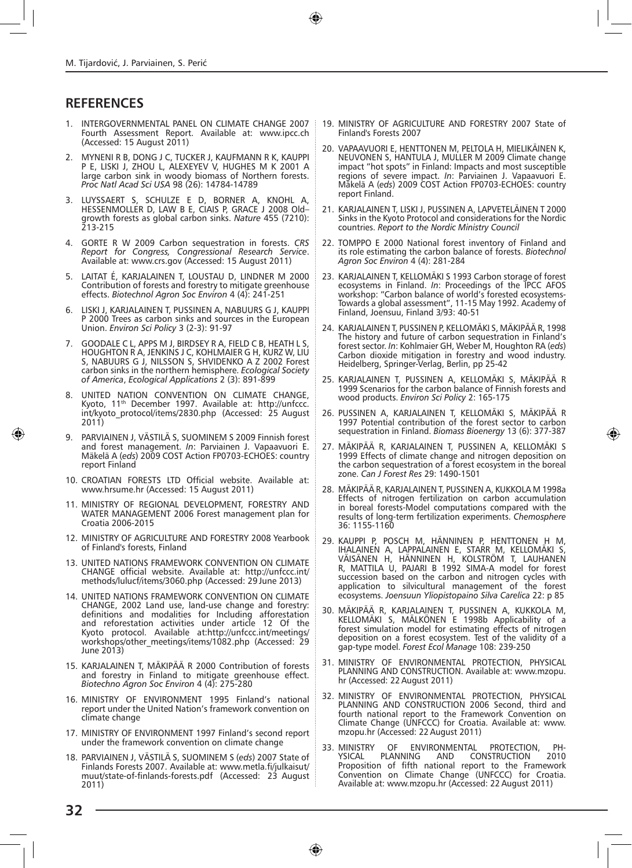# **REFERENCES**

- 1. INTERGOVERNMENTAL PANEL ON CLIMATE CHANGE 2007 Fourth Assessment Report. Available at: www.ipcc.ch (Accessed: 15 August 2011)
- 2. MYNENI R B, DONG J C, TUCKER J, KAUFMANN R K, KAUPPI P E, LISKI J, ZHOU L, ALEXEYEV V, HUGHES M K 2001 A large carbon sink in woody biomass of Northern forests. *Proc Natl Acad Sci USA* 98 (26): 14784-14789
- 3. LUYSSAERT S, SCHULZE E D, BORNER A, KNOHL A, HESSENMOLLER D, LAW B E, CIAIS P, GRACE J 2008 Old– growth forests as global carbon sinks. *Nature* 455 (7210): 213-215
- 4. GORTE R W 2009 Carbon sequestration in forests. *CRS Report for Congress, Congressional Research Service*. Available at: www.crs.gov (Accessed: 15 August 2011)
- 5. LAITAT É, KARJALAINEN T, LOUSTAU D, LINDNER M 2000 Contribution of forests and forestry to mitigate greenhouse effects. *Biotechnol Agron Soc Environ* 4 (4): 241-251
- 6. LISKI J, KARJALAINEN T, PUSSINEN A, NABUURS G J, KAUPPI P 2000 Trees as carbon sinks and sources in the European Union. *Environ Sci Policy* 3 (2-3): 91-97
- 7. GOODALE C L, APPS M J, BIRDSEY R A, FIELD C B, HEATH L S, HOUGHTON R A, JENKINS J C, KOHLMAIER G H, KURZ W, LIU S, NABUURS G J, NILSSON S, SHVIDENKO A Z 2002 Forest carbon sinks in the northern hemisphere. *Ecological Society of America*, *Ecological Applications* 2 (3): 891-899
- UNITED NATION CONVENTION ON CLIMATE CHANGE, Kyoto, 11th December 1997. Available at: http://unfccc. int/kyoto\_protocol/items/2830.php (Accessed: 25 August 2011)
- 9. PARVIAINEN J, VÄSTILÄ S, SUOMINEM S 2009 Finnish forest and forest management. *In*: Parviainen J. Vapaavuori E. Mäkelä A (*eds*) 2009 COST Action FP0703-ECHOES: country report Finland
- 10. CROATIAN FORESTS LTD Official website. Available at: www.hrsume.hr (Accessed: 15 August 2011)
- 11. MINISTRY OF REGIONAL DEVELOPMENT, FORESTRY AND WATER MANAGEMENT 2006 Forest management plan for Croatia 2006-2015
- 12. MINISTRY OF AGRICULTURE AND FORESTRY 2008 Yearbook of Finland's forests, Finland
- 13. UNITED NATIONS FRAMEWORK CONVENTION ON CLIMATE CHANGE official website. Available at: http://unfccc.int/ methods/lulucf/items/3060.php (Accessed: 29 June 2013)
- 14. UNITED NATIONS FRAMEWORK CONVENTION ON CLIMATE CHANGE, 2002 Land use, land-use change and forestry: definitions and modalities for Including afforestation and reforestation activities under article 12 Of the Kyoto protocol. Available at:http://unfccc.int/meetings/ workshops/other\_meetings/items/1082.php (Accessed: 29 June 2013)
- 15. KARJALAINEN T, MÄKIPÄÄ R 2000 Contribution of forests and forestry in Finland to mitigate greenhouse effect. *Biotechno Agron Soc Environ* 4 (4): 275-280
- 16. MINISTRY OF ENVIRONMENT 1995 Finland's national report under the United Nation's framework convention on climate change
- 17. MINISTRY OF ENVIRONMENT 1997 Finland's second report under the framework convention on climate change
- 18. PARVIAINEN J, VÄSTILÄ S, SUOMINEM S (*eds*) 2007 State of Finlands Forests 2007. Available at: www.metla.fi/julkaisut/ muut/state-of-finlands-forests.pdf (Accessed: 23 August 2011)
- 19. MINISTRY OF AGRICULTURE AND FORESTRY 2007 State of Finland's Forests 2007
- 20. VAPAAVUORI E, HENTTONEN M, PELTOLA H, MIELIKÄINEN K, NEUVONEN S, HANTULA J, MULLER M 2009 Climate change impact "hot spots" in Finland: Impacts and most susceptible regions of severe impact. *In*: Parviainen J. Vapaavuori E. Mäkelä A (*eds*) 2009 COST Action FP0703-ECHOES: country report Finland.
- 21. KARJALAINEN T, LISKI J, PUSSINEN A, LAPVETELÄINEN T 2000 Sinks in the Kyoto Protocol and considerations for the Nordic countries. *Report to the Nordic Ministry Council*
- 22. TOMPPO E 2000 National forest inventory of Finland and its role estimating the carbon balance of forests. *Biotechnol Agron Soc Environ* 4 (4): 281-284
- 23. KARJALAINEN T, KELLOMÄKI S 1993 Carbon storage of forest ecosystems in Finland. *In*: Proceedings of the IPCC AFOS workshop: "Carbon balance of world's forested ecosystems-Towards a global assessment", 11-15 May 1992. Academy of Finland, Joensuu, Finland 3/93: 40-51
- 24. KARJALAINEN T, PUSSINEN P, KELLOMÄKI S, MÄKIPÄÄ R, 1998 The history and future of carbon sequestration in Finland's forest sector. *In*: Kohlmaier GH, Weber M, Houghton RA (*eds*) Carbon dioxide mitigation in forestry and wood industry. Heidelberg, Springer-Verlag, Berlin, pp 25-42
- 25. KARJALAINEN T, PUSSINEN A, KELLOMÄKI S, MÄKIPÄÄ R 1999 Scenarios for the carbon balance of Finnish forests and wood products. *Environ Sci Policy* 2: 165-175
- 26. PUSSINEN A, KARJALAINEN T, KELLOMAKI S, MAKIPAA R 1997 Potential contribution of the forest sector to carbon sequestration in Finland. *Biomass Bioenergy* 13 (6): 377-387
- 27. MÄKIPÄÄ R, KARJALAINEN T, PUSSINEN A, KELLOMÄKI S 1999 Effects of climate change and nitrogen deposition on the carbon sequestration of a forest ecosystem in the boreal zone. *Can J Forest Res* 29: 1490-1501
- 28. MÄKIPÄÄ R, KARJALAINEN T, PUSSINEN A, KUKKOLA M 1998a Effects of nitrogen fertilization on carbon accumulation in boreal forests-Model computations compared with the results of long-term fertilization experiments. *Chemosphere* 36: 1155-1160
- 29. KAUPPI P, POSCH M, HÄNNINEN P, HENTTONEN H M, IHALAINEN A, LAPPALAINEN E, STARR M, KELLOMÄKI S, VÄISÄNEN H, HÄNNINEN H, KOLSTRÖM T, LAUHANEN R, MATTILA U, PAJARI B 1992 SIMA-A model for forest succession based on the carbon and nitrogen cycles with application to silvicultural management of the forest ecosystems. *Joensuun Yliopistopaino Silva Carelica* 22: p 85
- 30. MÄKIPÄÄ R, KARJALAINEN T, PUSSINEN A, KUKKOLA M, KELLOMÄKI S, MÄLKÖNEN E 1998b Applicability of a forest simulation model for estimating effects of nitrogen deposition on a forest ecosystem. Test of the validity of a gap-type model. *Forest Ecol Manage* 108: 239-250
- 31. MINISTRY OF ENVIRONMENTAL PROTECTION, PHYSICAL PLANNING AND CONSTRUCTION. Available at: www.mzopu. hr (Accessed: 22 August 2011)
- 32. MINISTRY OF ENVIRONMENTAL PROTECTION, PHYSICAL PLANNING AND CONSTRUCTION 2006 Second, third and fourth national report to the Framework Convention on Climate Change (UNFCCC) for Croatia. Available at: www. mzopu.hr (Accessed: 22 August 2011)
- 33. MINISTRY OF ENVIRONMENTAL PROTECTION, PH-<br>YSICAL PLANNING AND CONSTRUCTION 2010 **CONSTRUCTION** Proposition of fifth national report to the Framework Convention on Climate Change (UNFCCC) for Croatia. Available at: www.mzopu.hr (Accessed: 22 August 2011)

**32**